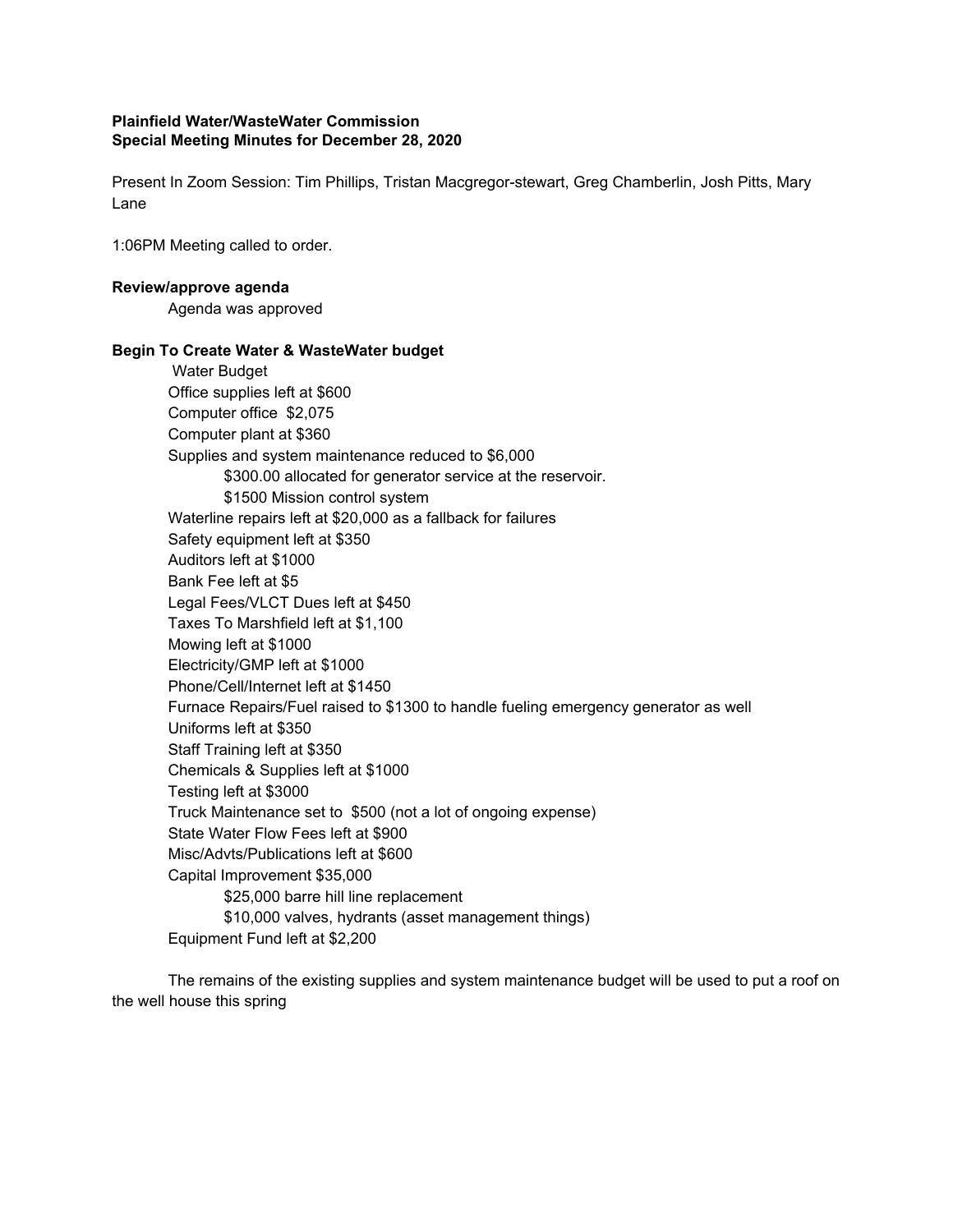## **Plainfield Water/WasteWater Commission Special Meeting Minutes for December 28, 2020**

Present In Zoom Session: Tim Phillips, Tristan Macgregor-stewart, Greg Chamberlin, Josh Pitts, Mary Lane

1:06PM Meeting called to order.

## **Review/approve agenda**

Agenda was approved

## **Begin To Create Water & WasteWater budget**

Water Budget Office supplies left at \$600 Computer office \$2,075 Computer plant at \$360 Supplies and system maintenance reduced to \$6,000 \$300.00 allocated for generator service at the reservoir. \$1500 Mission control system Waterline repairs left at \$20,000 as a fallback for failures Safety equipment left at \$350 Auditors left at \$1000 Bank Fee left at \$5 Legal Fees/VLCT Dues left at \$450 Taxes To Marshfield left at \$1,100 Mowing left at \$1000 Electricity/GMP left at \$1000 Phone/Cell/Internet left at \$1450 Furnace Repairs/Fuel raised to \$1300 to handle fueling emergency generator as well Uniforms left at \$350 Staff Training left at \$350 Chemicals & Supplies left at \$1000 Testing left at \$3000 Truck Maintenance set to \$500 (not a lot of ongoing expense) State Water Flow Fees left at \$900 Misc/Advts/Publications left at \$600 Capital Improvement \$35,000 \$25,000 barre hill line replacement \$10,000 valves, hydrants (asset management things) Equipment Fund left at \$2,200

The remains of the existing supplies and system maintenance budget will be used to put a roof on the well house this spring